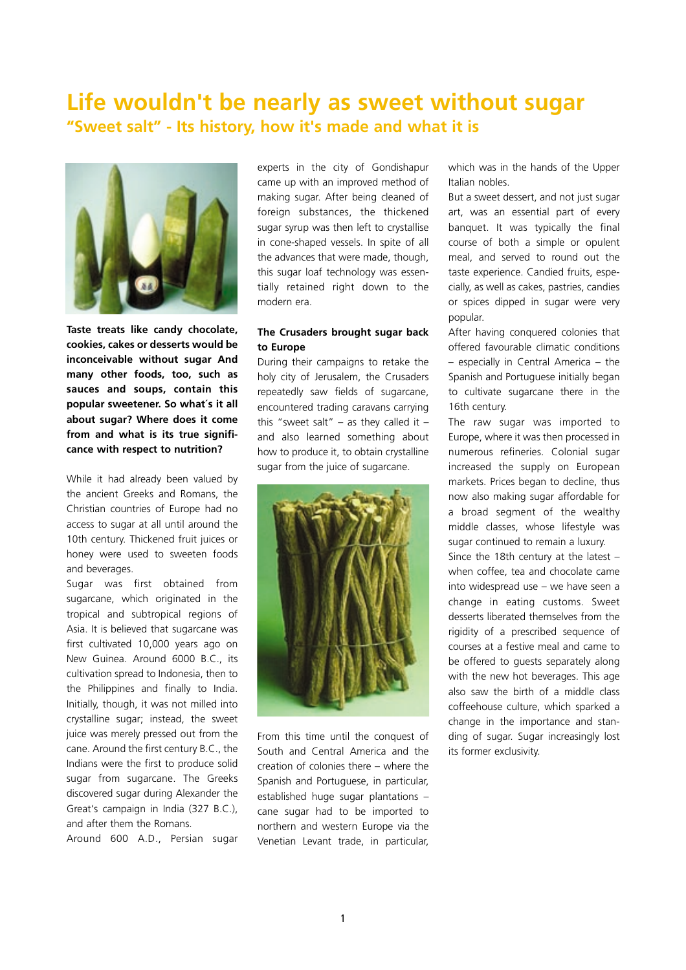# **Life wouldn't be nearly as sweet without sugar "Sweet salt" - Its history, how it's made and what it is**



**Taste treats like candy chocolate, cookies, cakes or desserts would be inconceivable without sugar And many other foods, too, such as sauces and soups, contain this popular sweetener. So what´s it all about sugar? Where does it come from and what is its true significance with respect to nutrition?** 

While it had already been valued by the ancient Greeks and Romans, the Christian countries of Europe had no access to sugar at all until around the 10th century. Thickened fruit juices or honey were used to sweeten foods and beverages.

Sugar was first obtained from sugarcane, which originated in the tropical and subtropical regions of Asia. It is believed that sugarcane was first cultivated 10,000 years ago on New Guinea. Around 6000 B.C., its cultivation spread to Indonesia, then to the Philippines and finally to India. Initially, though, it was not milled into crystalline sugar; instead, the sweet juice was merely pressed out from the cane. Around the first century B.C., the Indians were the first to produce solid sugar from sugarcane. The Greeks discovered sugar during Alexander the Great's campaign in India (327 B.C.), and after them the Romans.

Around 600 A.D., Persian sugar

experts in the city of Gondishapur came up with an improved method of making sugar. After being cleaned of foreign substances, the thickened sugar syrup was then left to crystallise in cone-shaped vessels. In spite of all the advances that were made, though, this sugar loaf technology was essentially retained right down to the modern era.

### **The Crusaders brought sugar back to Europe**

During their campaigns to retake the holy city of Jerusalem, the Crusaders repeatedly saw fields of sugarcane, encountered trading caravans carrying this "sweet salt" – as they called it – and also learned something about how to produce it, to obtain crystalline sugar from the juice of sugarcane.



From this time until the conquest of South and Central America and the creation of colonies there – where the Spanish and Portuguese, in particular, established huge sugar plantations – cane sugar had to be imported to northern and western Europe via the Venetian Levant trade, in particular, which was in the hands of the Upper Italian nobles.

But a sweet dessert, and not just sugar art, was an essential part of every banquet. It was typically the final course of both a simple or opulent meal, and served to round out the taste experience. Candied fruits, especially, as well as cakes, pastries, candies or spices dipped in sugar were very popular.

After having conquered colonies that offered favourable climatic conditions – especially in Central America – the Spanish and Portuguese initially began to cultivate sugarcane there in the 16th century.

The raw sugar was imported to Europe, where it was then processed in numerous refineries. Colonial sugar increased the supply on European markets. Prices began to decline, thus now also making sugar affordable for a broad segment of the wealthy middle classes, whose lifestyle was sugar continued to remain a luxury.

Since the 18th century at the latest – when coffee, tea and chocolate came into widespread use – we have seen a change in eating customs. Sweet desserts liberated themselves from the rigidity of a prescribed sequence of courses at a festive meal and came to be offered to guests separately along with the new hot beverages. This age also saw the birth of a middle class coffeehouse culture, which sparked a change in the importance and standing of sugar. Sugar increasingly lost its former exclusivity.